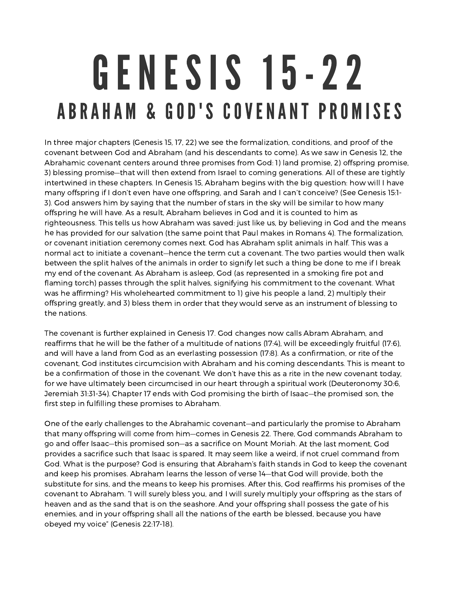## GENESIS 15-22 ABRAHAM & GOD'S COVENANT PROMISES

In three major chapters (Genesis 15, 17, 22) we see the formalization, conditions, and proof of the covenant between God and Abraham (and his descendants to come). As we saw in Genesis 12, the Abrahamic covenant centers around three promises from God: 1) land promise, 2) offspring promise, 3) blessing promise—that will then extend from Israel to coming generations. All of these are tightly intertwined in these chapters. In Genesis 15, Abraham begins with the big question: how will I have many offspring if I don't even have one offspring, and Sarah and I can't conceive? (See Genesis 15:1- 3). God answers him by saying that the number of stars in the sky will be similar to how many offspring he will have. As <sup>a</sup> result, Abraham believes in God and it is counted to him as righteousness. This tells us how Abraham was saved: just like us, by believing in God and the means he has provided for our salvation (the same point that Paul makes in Romans 4). The formalization, or covenant initiation ceremony comes next. God has Abraham split animals in half. This was <sup>a</sup> normal act to initiate <sup>a</sup> covenant—hence the term cut <sup>a</sup> covenant. The two parties would then walk between the split halves of the animals in order to signify let such <sup>a</sup> thing be done to me if I break my end of the covenant. As Abraham is asleep, God (as represented in <sup>a</sup> smoking fire pot and flaming torch) passes through the split halves, signifying his commitment to the covenant. What was he affirming? His wholehearted commitment to 1) give his people <sup>a</sup> land, 2) multiply their offspring greatly, and 3) bless them in order that they would serve as an instrument of blessing to the nations.

The covenant is further explained in Genesis 17. God changes now calls Abram Abraham, and reaffirms that he will be the father of <sup>a</sup> multitude of nations (17:4), will be exceedingly fruitful (17:6), and will have <sup>a</sup> land from God as an everlasting possession (17:8). As <sup>a</sup> confirmation, or rite of the covenant, God institutes circumcision with Abraham and his coming descendants. This is meant to be <sup>a</sup> confirmation of those in the covenant. We don't have this as <sup>a</sup> rite in the new covenant today, for we have ultimately been circumcised in our heart through <sup>a</sup> spiritual work (Deuteronomy 30:6, Jeremiah 31:31-34). Chapter 17 ends with God promising the birth of Isaac—the promised son, the first step in fulfilling these promises to Abraham.

One of the early challenges to the Abrahamic covenant—and particularly the promise to Abraham that many offspring will come from him—comes in Genesis 22. There, God commands Abraham to go and offer Isaac—this promised son—as <sup>a</sup> sacrifice on Mount Moriah. At the last moment, God provides <sup>a</sup> sacrifice such that Isaac is spared. It may seem like <sup>a</sup> weird, if not cruel command from God. What is the purpose? God is ensuring that Abraham's faith stands in God to keep the covenant and keep his promises. Abraham learns the lesson of verse 14—that God will provide, both the substitute for sins, and the means to keep his promises. After this, God reaffirms his promises of the covenant to Abraham. "I will surely bless you, and I will surely multiply your offspring as the stars of heaven and as the sand that is on the seashore. And your offspring shall possess the gate of his enemies, and in your offspring shall all the nations of the earth be blessed, because you have obeyed my voice" (Genesis 22:17-18).